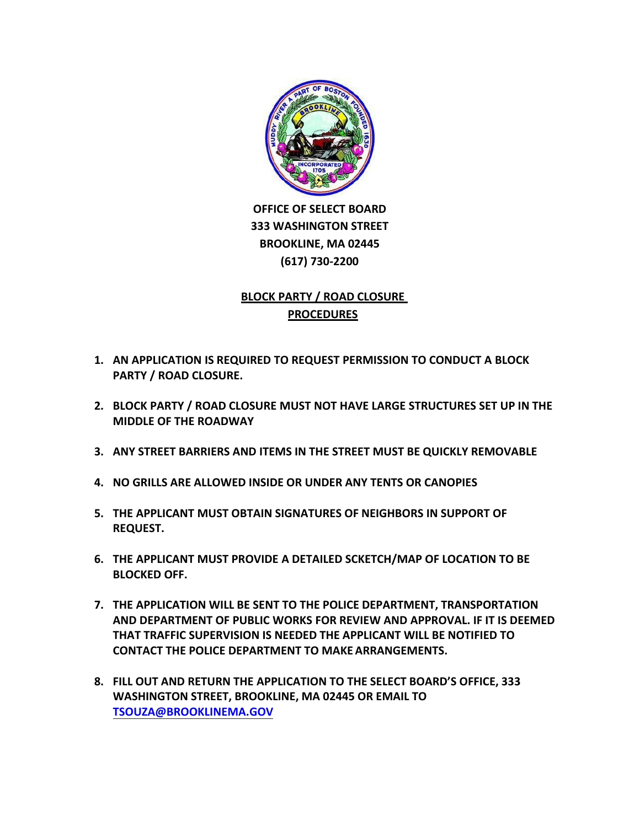

 **OFFICE OF SELECT BOARD 333 WASHINGTON STREET BROOKLINE, MA 02445 (617) 730‐2200**

## **BLOCK PARTY / ROAD CLOSURE PROCEDURES**

- **1. AN APPLICATION IS REQUIRED TO REQUEST PERMISSION TO CONDUCT A BLOCK PARTY / ROAD CLOSURE.**
- **2. BLOCK PARTY / ROAD CLOSURE MUST NOT HAVE LARGE STRUCTURES SET UP IN THE MIDDLE OF THE ROADWAY**
- **3. ANY STREET BARRIERS AND ITEMS IN THE STREET MUST BE QUICKLY REMOVABLE**
- **4. NO GRILLS ARE ALLOWED INSIDE OR UNDER ANY TENTS OR CANOPIES**
- **5. THE APPLICANT MUST OBTAIN SIGNATURES OF NEIGHBORS IN SUPPORT OF REQUEST.**
- **6. THE APPLICANT MUST PROVIDE A DETAILED SCKETCH/MAP OF LOCATION TO BE BLOCKED OFF.**
- **7. THE APPLICATION WILL BE SENT TO THE POLICE DEPARTMENT, TRANSPORTATION AND DEPARTMENT OF PUBLIC WORKS FOR REVIEW AND APPROVAL. IF IT IS DEEMED THAT TRAFFIC SUPERVISION IS NEEDED THE APPLICANT WILL BE NOTIFIED TO CONTACT THE POLICE DEPARTMENT TO MAKE ARRANGEMENTS.**
- **8. FILL OUT AND RETURN THE APPLICATION TO THE SELECT BOARD'S OFFICE, 333 WASHINGTON STREET, BROOKLINE, MA 02445 OR EMAIL TO TSOUZA[@BROOKLINEMA.GOV](mailto:SAFORD@BROOKLINEMA.GOV)**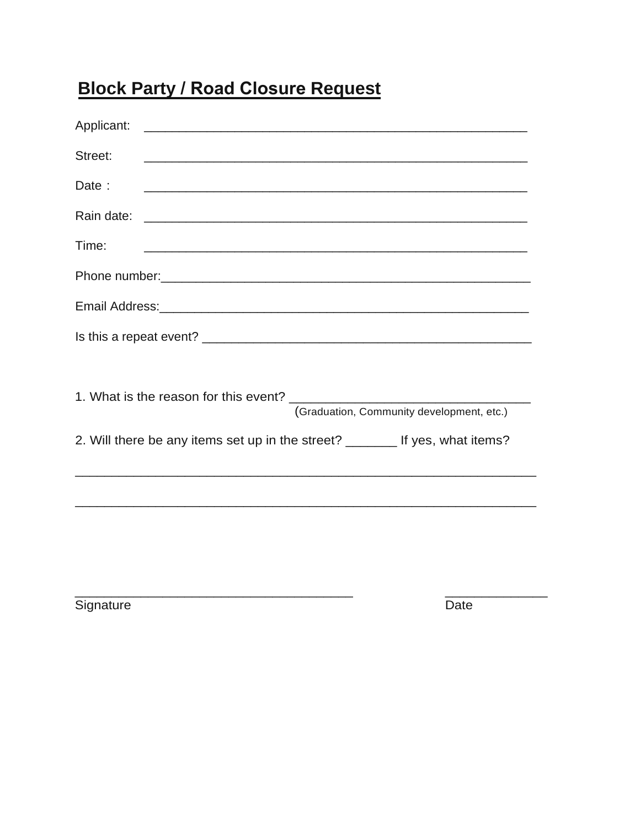## **Block Party / Road Closure Request**

| Street:                                                                                                                                                                                                                        |  |  |  |  |  |
|--------------------------------------------------------------------------------------------------------------------------------------------------------------------------------------------------------------------------------|--|--|--|--|--|
| Date:                                                                                                                                                                                                                          |  |  |  |  |  |
|                                                                                                                                                                                                                                |  |  |  |  |  |
| Time:                                                                                                                                                                                                                          |  |  |  |  |  |
|                                                                                                                                                                                                                                |  |  |  |  |  |
| Email Address: 2008 Communication of the Address of The Address of The Address of The Address of The Address of The Address of The Address of The Address of The Address of The Address of The Address of The Address of The A |  |  |  |  |  |
|                                                                                                                                                                                                                                |  |  |  |  |  |
|                                                                                                                                                                                                                                |  |  |  |  |  |
|                                                                                                                                                                                                                                |  |  |  |  |  |
| (Graduation, Community development, etc.)                                                                                                                                                                                      |  |  |  |  |  |
| 2. Will there be any items set up in the street? _______ If yes, what items?                                                                                                                                                   |  |  |  |  |  |
|                                                                                                                                                                                                                                |  |  |  |  |  |
|                                                                                                                                                                                                                                |  |  |  |  |  |
|                                                                                                                                                                                                                                |  |  |  |  |  |
|                                                                                                                                                                                                                                |  |  |  |  |  |

Signature

 $\overline{Date}$